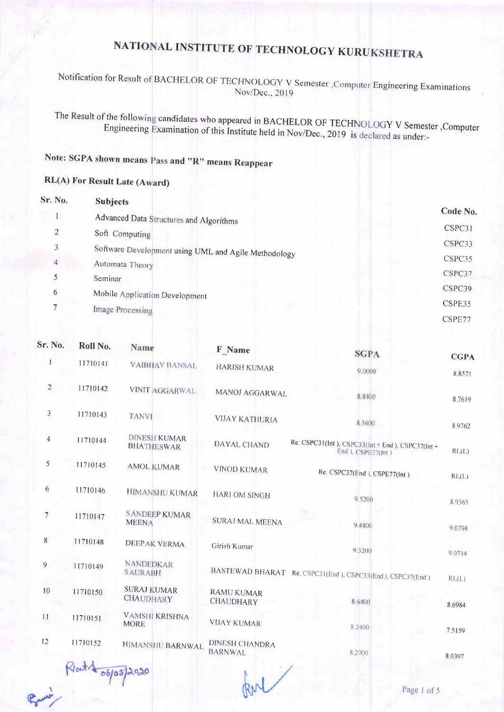Notification for Result of BACHELOR OF TECHNOLOGY V Semester , Computer Engineering Examinations Nov/Dec., 2019

The Result of the following candidates who appeared in BACHELOR OF TECHNOLOGY V Semester, Computer Engineering Examination of this Institute held in Nov/Dec., 2019 is declared as under:-

## Note: SGPA shown means Pass and "R" means Reappear

### RL(A) For Result Late (Award)

| Sr. No.        | <b>Subjects</b>                                      |          |
|----------------|------------------------------------------------------|----------|
|                | Advanced Data Structures and Algorithms              | Code No. |
| 2              | Soft Computing                                       | CSPC31   |
| 3              | Software Development using UML and Agile Methodology | CSPC33   |
| $\overline{4}$ | Automata Theory                                      | CSPC35   |
| 5              | Seminar                                              | CSPC37   |
| 6              | Mobile Application Development                       | CSPC39   |
|                | Image Processing                                     | CSPE35   |
|                |                                                      | CSPE77   |

| Sr. No.                  | Roll No.  | Name                                     | F Name                                  | <b>SGPA</b>                                                         | <b>CGPA</b> |
|--------------------------|-----------|------------------------------------------|-----------------------------------------|---------------------------------------------------------------------|-------------|
| $\mathbf{1}$             | 11710141  | <b>VAIBHAV BANSAL</b>                    | <b>HARISH KUMAR</b>                     | 9.0000                                                              | 8.8571      |
| $\overline{2}$           | 11710142  | <b>VINIT AGGARWAL</b>                    | MANOJ AGGARWAL                          | 8.8400                                                              | 8.7619      |
| $\mathfrak{Z}$           | 11710143  | <b>TANVI</b>                             | <b>VIJAY KATHURIA</b>                   | 8.5600                                                              | 8.9762      |
| $\overline{4}$           | 11710144  | <b>DINESH KUMAR</b><br><b>BHATHESWAR</b> | DAYAL CHAND                             | Re. CSPC31(Int), CSPC33(Int+End), CSPC37(Int+<br>End ), CSPE77(Int) | RL(L)       |
| 5                        | 11710145  | <b>AMOL KUMAR</b>                        | <b>VINOD KUMAR</b>                      | Re. CSPC37(End), CSPE77(Int)                                        | RL(L)       |
| 6                        | 11710146  | HIMANSHU KUMAR                           | <b>HARI OM SINGH</b>                    | 9.5200                                                              | 8.9365      |
| $\overline{\phantom{a}}$ | 11710147  | <b>SANDEEP KUMAR</b><br><b>MEENA</b>     | <b>SURAJ MAL MEENA</b>                  | 9.4800                                                              | 9.0794      |
| 8                        | 11710148  | <b>DEEPAK VERMA</b>                      | Girish Kumar                            | 9.3200                                                              | 9.0714      |
| 9                        | 11710149  | <b>NANDEDKAR</b><br><b>SAURABH</b>       |                                         | BASTEWAD BHARAT Re. CSPC31(End), CSPC33(End), CSPC37(End)           | RL(L)       |
| 10                       | 11710150  | <b>SURAJ KUMAR</b><br>CHAUDHARY          | <b>RAMU KUMAR</b><br>CHAUDHARY          | 8.6400                                                              | 8.6984      |
| 11                       | 11710151  | <b>VAMSHI KRISHNA</b><br><b>MORE</b>     | <b>VIJAY KUMAR</b>                      | 8.2400                                                              | 7.5159      |
| 12                       | 11710152  | HIMANSHU BARNWAL                         | <b>DINESH CHANDRA</b><br><b>BARNWAL</b> | 8.2000                                                              |             |
|                          | $R_1 + A$ |                                          |                                         |                                                                     | 8 0 3 9 7   |

06/03/2020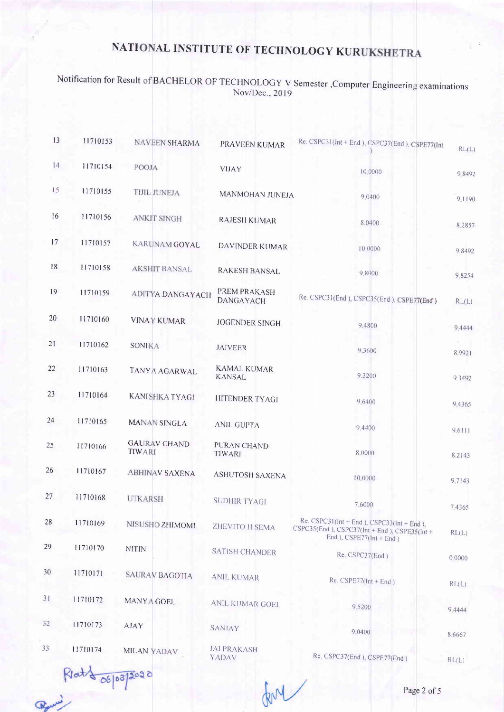#### Notification for Result BACHELOR OF TECHNOLOGY V CHNOLOGY V Semester ,Computer Engineering examinations<br>Nov/Dec., 2019

| 13 | 11710153 | NAVEEN SHARMA                 | PRAVEEN KUMAR                       | Re. CSPC31(Int + End), CSPC37(End), CSPE77(Int                                            | RL(L)     |
|----|----------|-------------------------------|-------------------------------------|-------------------------------------------------------------------------------------------|-----------|
| 14 | 11710154 | POOJA                         | VIJAY                               | 10,0000                                                                                   | 9.8492    |
| 15 | 11710155 | TIJIL JUNEJA                  | MANMOHAN JUNEJA                     | 9.0400                                                                                    | 9.1190    |
| 16 | 11710156 | <b>ANKIT SINGH</b>            | <b>RAJESH KUMAR</b>                 | 8.0400                                                                                    | 8.2857    |
| 17 | 11710157 | <b>KARUNAM GOYAL</b>          | DAVINDER KUMAR                      | 10,0000                                                                                   | 98492     |
| 18 | 11710158 | <b>AKSHIT BANSAL</b>          | <b>RAKESH BANSAL</b>                | 9,8000                                                                                    | 9.8254    |
| 19 | 11710159 | <b>ADITYA DANGAYACH</b>       | PREM PRAKASH<br><b>DANGAYACH</b>    | Re. CSPC31(End), CSPC35(End), CSPE77(End)                                                 | RL(L)     |
| 20 | 11710160 | <b>VINAY KUMAR</b>            | <b>JOGENDER SINGH</b>               | 9.4800                                                                                    | 9.4444    |
| 21 | 11710162 | <b>SONIKA</b>                 | <b>JAIVEER</b>                      | 9 3 6 0 0                                                                                 | 8 9 9 2 1 |
| 22 | 11710163 | TANYA AGARWAL                 | <b>KAMAL KUMAR</b><br><b>KANSAL</b> | 9.3200                                                                                    | 9.3492    |
| 23 | 11710164 | <b>KANISHKA TYAGI</b>         | <b>HITENDER TYAGI</b>               | 9,6400                                                                                    | 9.4365    |
| 24 | 11710165 | <b>MANAN SINGLA</b>           | <b>ANIL GUPTA</b>                   | 9.4400                                                                                    | 9,6111    |
| 25 | 11710166 | <b>GAURAV CHAND</b><br>TIWARI | PURAN CHAND<br><b>TIWARI</b>        | 8.0000                                                                                    | 8.2143    |
| 26 | 11710167 | <b>ABHINAV SAXENA</b>         | <b>ASHUTOSH SAXENA</b>              | 10,0000                                                                                   | 9.7143    |
| 27 | 11710168 | <b>UTKARSH</b>                | <b>SUDHIR TYAGI</b>                 | 7.6000                                                                                    | 74365     |
| 28 | 11710169 | NISUSHO ZHIMOMI               | ZHEVITO H SEMA                      | Re. CSPC31(lnt + End), CSPC33(lnt + End),<br>CSPC35(End), CSPC37(Int + End), CSPE35(Int + | RL(L)     |
| 29 | 11710170 | <b>NITIN</b>                  | <b>SATISH CHANDER</b>               | End), $CSPE77(Int + End)$<br>Re. CSPC37(End)                                              | 0.0000    |
| 30 | 11710171 | <b>SAURAV BAGOTIA</b>         | <b>ANIL KUMAR</b>                   | Re. CSPE77(Int + End)                                                                     | RL(L)     |
| 31 | 11710172 | MANYA GOEL                    | ANIL KUMAR GOEL                     | 9.5200                                                                                    | 9.4444    |
| 32 | 11710173 | <b>AJAY</b>                   | <b>SANJAY</b>                       | 9 0400                                                                                    | 8.6667    |
| 33 | 11710174 | <b>MILAN YADAV</b>            | <b>JAI PRAKASH</b><br><b>YADAV</b>  | Re. CSPC37(End), CSPE77(End)                                                              | RL(L)     |
|    |          |                               |                                     |                                                                                           |           |

Gent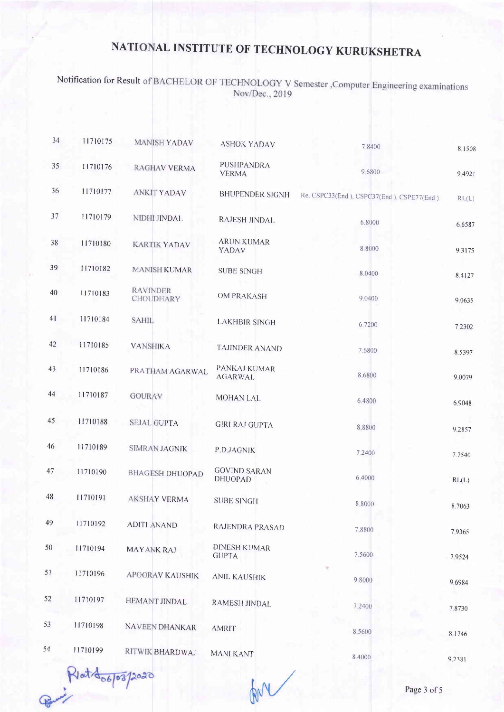# Notification for Result of BACHELOR OF TECHNOLOGY V Semester ,Computer Engineering examinations<br>Nov/Dec., 2019

| 34 | 11710175 | <b>MANISH YADAV</b>                 | <b>ASHOK YADAV</b>                    | 7.8400                                    | 8.1508 |
|----|----------|-------------------------------------|---------------------------------------|-------------------------------------------|--------|
| 35 | 11710176 | RAGHAV VERMA                        | PUSHPANDRA<br><b>VERMA</b>            | 9,6800                                    | 9.4921 |
| 36 | 11710177 | <b>ANKIT YADAV</b>                  | <b>BHUPENDER SIGNH</b>                | Re. CSPC33(End), CSPC37(End), CSPE77(End) | RL(L)  |
| 37 | 11710179 | NIDHI JINDAL                        | <b>RAJESH JINDAL</b>                  | 6.8000                                    | 66587  |
| 38 | 11710180 | <b>KARTIK YADAV</b>                 | <b>ARUN KUMAR</b><br>YADAV            | 8.8000                                    | 9.3175 |
| 39 | 11710182 | MANISH KUMAR                        | <b>SUBE SINGH</b>                     | 8.0400                                    | 8.4127 |
| 40 | 11710183 | <b>RAVINDER</b><br><b>CHOUDHARY</b> | <b>OM PRAKASH</b>                     | 9.0400                                    | 9.0635 |
| 41 | 11710184 | <b>SAHIL</b>                        | LAKHBIR SINGH                         | 6,7200                                    | 7.2302 |
| 42 | 11710185 | <b>VANSHIKA</b>                     | TAJINDER ANAND                        | 7.6800                                    | 8.5397 |
| 43 | 11710186 | PRATHAM AGARWAL                     | PANKAJ KUMAR<br><b>AGARWAL</b>        | 8.6800                                    | 9.0079 |
| 44 | 11710187 | <b>GOURAV</b>                       | <b>MOHAN LAL</b>                      | 6.4800                                    | 6.9048 |
| 45 | 11710188 | <b>SEJAL GUPTA</b>                  | <b>GIRI RAJ GUPTA</b>                 | 8.8800                                    | 9.2857 |
| 46 | 11710189 | <b>SIMRAN JAGNIK</b>                | P.D.JAGNIK                            | 7.2400                                    | 7.7540 |
| 47 | 11710190 | <b>BHAGESH DHUOPAD</b>              | <b>GOVIND SARAN</b><br><b>DHUOPAD</b> | 6,4000                                    | RL(L)  |
| 48 | 11710191 | <b>AKSHAY VERMA</b>                 | <b>SUBE SINGH</b>                     | 8.8000                                    | 8.7063 |
| 49 | 11710192 | <b>ADITI ANAND</b>                  | RAJENDRA PRASAD                       | 7.8800                                    | 7.9365 |
| 50 | 11710194 | <b>MAYANK RAJ</b>                   | <b>DINESH KUMAR</b><br><b>GUPTA</b>   | 7.5600                                    | 7.9524 |
| 51 | 11710196 | <b>APOORAV KAUSHIK</b>              | <b>ANIL KAUSHIK</b>                   | 9.8000                                    | 9.6984 |
| 52 | 11710197 | HEMANT JINDAL                       | RAMESH JINDAL                         | 7,2400                                    | 78730  |
| 53 | 11710198 | NAVEEN DHANKAR                      | <b>AMRIT</b>                          | 8.5600                                    | 8.1746 |
| 54 | 11710199 | RITWIK BHARDWAJ                     | <b>MANI KANT</b>                      | 8.4000                                    | Q7381  |

ANY

Riat do 6/03/2020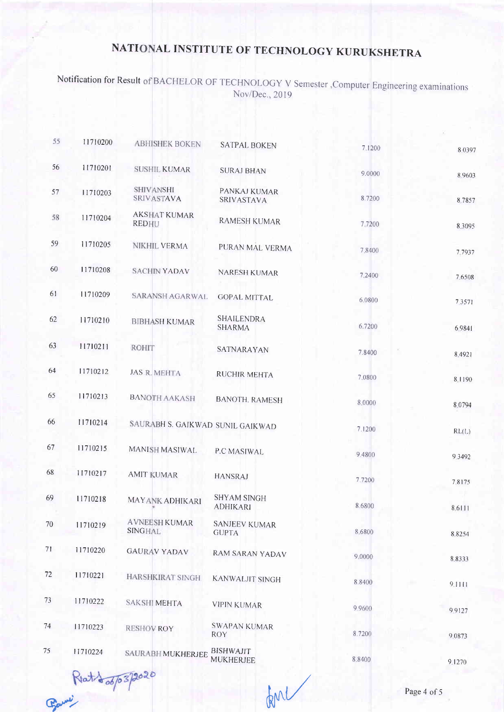### Notification for Result of BACHELOR OF TECHNOLOGY V Semester , Computer Engineering examinations Nov/Dec., 2019

| 55     | 11710200         | <b>ABHISHEK BOKEN</b>                  | <b>SATPAL BOKEN</b>                   | 7.1200    | 8 0 3 9 7   |
|--------|------------------|----------------------------------------|---------------------------------------|-----------|-------------|
| 56     | 11710201         | <b>SUSHIL KUMAR</b>                    | <b>SURAJ BHAN</b>                     | 9.0000    | 8.9603      |
| 57     | 11710203         | <b>SHIVANSHI</b><br><b>SRIVASTAVA</b>  | PANKAJ KUMAR<br><b>SRIVASTAVA</b>     | 8.7200    | 8.7857      |
| 58     | 11710204         | <b>AKSHAT KUMAR</b><br><b>REDHU</b>    | <b>RAMESH KUMAR</b>                   | 7,7200    | 8.3095      |
| 59     | 11710205         | NIKHIL VERMA                           | PURAN MAL VERMA                       | 7,8400    | 7.7937      |
| 60     | 11710208         | <b>SACHIN YADAV</b>                    | <b>NARESH KUMAR</b>                   | 7,2400    | 7.6508      |
| 61     | 11710209         | SARANSH AGARWAL                        | <b>GOPAL MITTAL</b>                   | 6.0800    | 7.3571      |
| 62     | 11710210         | <b>BIBHASH KUMAR</b>                   | SHAILENDRA<br><b>SHARMA</b>           | 6.7200    | 6.9841      |
| 63     | 11710211         | <b>ROHIT</b>                           | SATNARAYAN                            | 7.8400    | 8.4921      |
| 64     | 11710212         | <b>JAS R. MEHTA</b>                    | <b>RUCHIR MEHTA</b>                   | 7.0800    | 8 1190      |
| 65     | 11710213         | <b>BANOTH AAKASH</b>                   | <b>BANOTH. RAMESH</b>                 | 8.0000    | 8.0794      |
| 66     | 11710214         | SAURABH S. GAIKWAD SUNIL GAIKWAD       |                                       | 7.1200    | RL(L)       |
| 67     | 11710215         | MANISH MASIWAL                         | P.C MASIWAL                           | 9,4800    | 9 3 4 9 2   |
| 68     | 11710217         | <b>AMIT KUMAR</b>                      | <b>HANSRAJ</b>                        | 7.7200    | 7.8175      |
| 69     | 11710218         | MAYANK ADHIKARI                        | <b>SHYAM SINGH</b><br><b>ADHIKARI</b> | 8.6800    | 86111       |
| $70\,$ | 11710219         | <b>AVNEESH KUMAR</b><br><b>SINGHAL</b> | <b>SANJEEV KUMAR</b><br><b>GUPTA</b>  | 8.6800    | 8.8254      |
| 71     | 11710220         | <b>GAURAV YADAV</b>                    | RAM SARAN YADAV                       | 9.0000    | 8.8333      |
| 72     | 11710221         | HARSHKIRAT SINGH                       | <b>KANWALJIT SINGH</b>                | 8.8400    | 9.1111      |
| 73     | 11710222         | SAKSHI MEHTA                           | <b>VIPIN KUMAR</b>                    | 9 9 6 0 0 | 99127       |
| 74     | 11710223         | <b>RESHOV ROY</b>                      | <b>SWAPAN KUMAR</b><br><b>ROY</b>     | 8.7200    | 9.0873      |
| $75\,$ | 11710224         | SAURABH MUKHERJEE                      | <b>BISHWAJIT</b><br><b>MUKHERJEE</b>  | 8.8400    | 9.1270      |
|        |                  |                                        |                                       |           |             |
|        | Mat 2005/03/2020 |                                        | Gene                                  |           | Page 4 of 5 |

Page 4 of 5